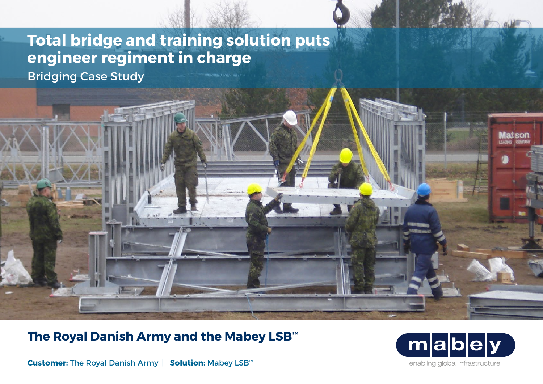## **Total bridge and training solution puts engineer regiment in charge**

Bridging Case Study



 $m$ |a enabling global infrastructure

**Customer:** The Royal Danish Army | **Solution:** Mabey LSB™